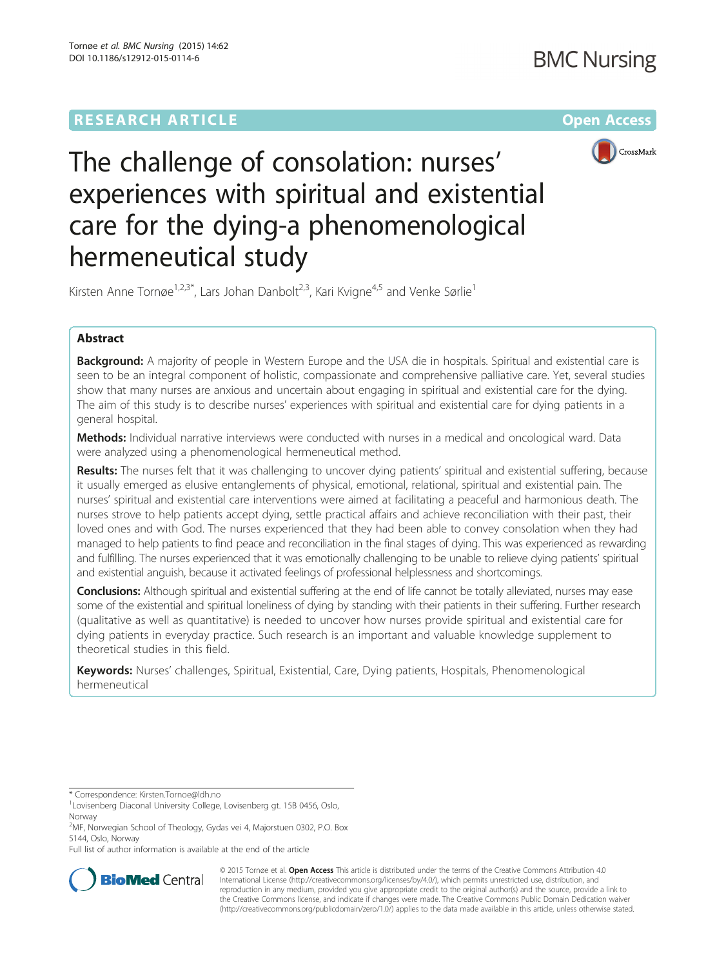## **RESEARCH ARTICLE Example 2014 12:30 The Contract of Contract ACCESS**



# The challenge of consolation: nurses' experiences with spiritual and existential care for the dying-a phenomenological hermeneutical study

Kirsten Anne Tornøe<sup>1,2,3\*</sup>, Lars Johan Danbolt<sup>2,3</sup>, Kari Kvigne<sup>4,5</sup> and Venke Sørlie<sup>1</sup>

## Abstract

**Background:** A majority of people in Western Europe and the USA die in hospitals. Spiritual and existential care is seen to be an integral component of holistic, compassionate and comprehensive palliative care. Yet, several studies show that many nurses are anxious and uncertain about engaging in spiritual and existential care for the dying. The aim of this study is to describe nurses' experiences with spiritual and existential care for dying patients in a general hospital.

Methods: Individual narrative interviews were conducted with nurses in a medical and oncological ward. Data were analyzed using a phenomenological hermeneutical method.

Results: The nurses felt that it was challenging to uncover dying patients' spiritual and existential suffering, because it usually emerged as elusive entanglements of physical, emotional, relational, spiritual and existential pain. The nurses' spiritual and existential care interventions were aimed at facilitating a peaceful and harmonious death. The nurses strove to help patients accept dying, settle practical affairs and achieve reconciliation with their past, their loved ones and with God. The nurses experienced that they had been able to convey consolation when they had managed to help patients to find peace and reconciliation in the final stages of dying. This was experienced as rewarding and fulfilling. The nurses experienced that it was emotionally challenging to be unable to relieve dying patients' spiritual and existential anguish, because it activated feelings of professional helplessness and shortcomings.

Conclusions: Although spiritual and existential suffering at the end of life cannot be totally alleviated, nurses may ease some of the existential and spiritual loneliness of dying by standing with their patients in their suffering. Further research (qualitative as well as quantitative) is needed to uncover how nurses provide spiritual and existential care for dying patients in everyday practice. Such research is an important and valuable knowledge supplement to theoretical studies in this field.

Keywords: Nurses' challenges, Spiritual, Existential, Care, Dying patients, Hospitals, Phenomenological hermeneutical

Full list of author information is available at the end of the article



© 2015 Tornøe et al. Open Access This article is distributed under the terms of the Creative Commons Attribution 4.0 International License [\(http://creativecommons.org/licenses/by/4.0/](http://creativecommons.org/licenses/by/4.0/)), which permits unrestricted use, distribution, and reproduction in any medium, provided you give appropriate credit to the original author(s) and the source, provide a link to the Creative Commons license, and indicate if changes were made. The Creative Commons Public Domain Dedication waiver [\(http://creativecommons.org/publicdomain/zero/1.0/](http://creativecommons.org/publicdomain/zero/1.0/)) applies to the data made available in this article, unless otherwise stated.

<sup>\*</sup> Correspondence: [Kirsten.Tornoe@ldh.no](mailto:Kirsten.Tornoe@ldh.no) <sup>1</sup>

<sup>&</sup>lt;sup>1</sup> Lovisenberg Diaconal University College, Lovisenberg gt. 15B 0456, Oslo, Norway

<sup>&</sup>lt;sup>2</sup>MF, Norwegian School of Theology, Gydas vei 4, Majorstuen 0302, P.O. Box 5144, Oslo, Norway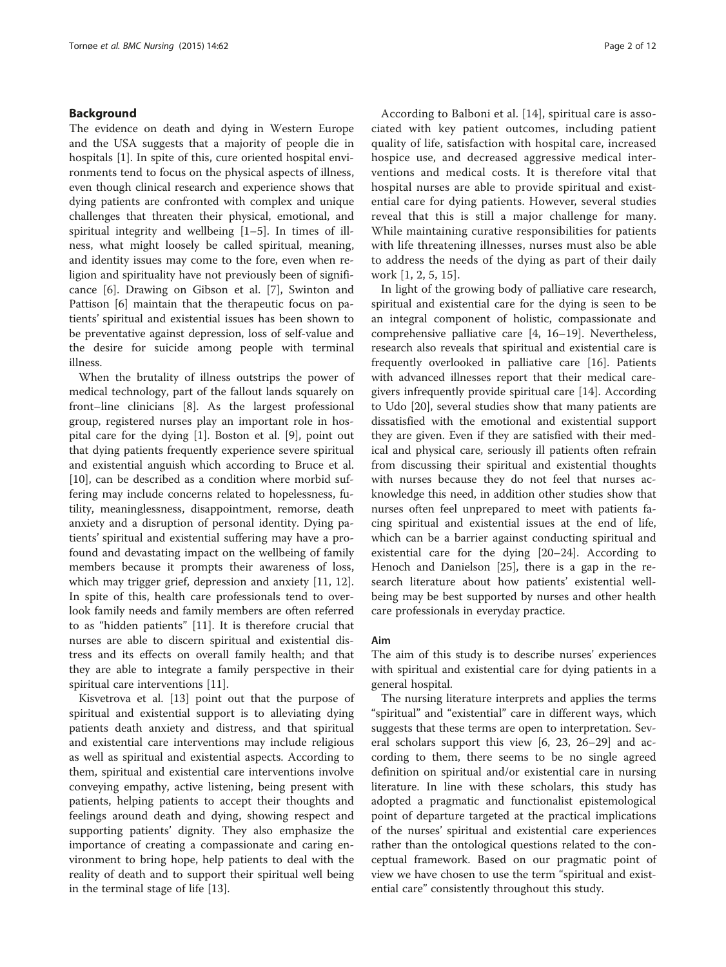#### Background

The evidence on death and dying in Western Europe and the USA suggests that a majority of people die in hospitals [[1\]](#page-10-0). In spite of this, cure oriented hospital environments tend to focus on the physical aspects of illness, even though clinical research and experience shows that dying patients are confronted with complex and unique challenges that threaten their physical, emotional, and spiritual integrity and wellbeing [\[1](#page-10-0)–[5\]](#page-10-0). In times of illness, what might loosely be called spiritual, meaning, and identity issues may come to the fore, even when religion and spirituality have not previously been of significance [[6\]](#page-10-0). Drawing on Gibson et al. [[7\]](#page-10-0), Swinton and Pattison [\[6](#page-10-0)] maintain that the therapeutic focus on patients' spiritual and existential issues has been shown to be preventative against depression, loss of self-value and the desire for suicide among people with terminal illness.

When the brutality of illness outstrips the power of medical technology, part of the fallout lands squarely on front–line clinicians [\[8\]](#page-10-0). As the largest professional group, registered nurses play an important role in hospital care for the dying [\[1\]](#page-10-0). Boston et al. [\[9\]](#page-10-0), point out that dying patients frequently experience severe spiritual and existential anguish which according to Bruce et al. [[10\]](#page-10-0), can be described as a condition where morbid suffering may include concerns related to hopelessness, futility, meaninglessness, disappointment, remorse, death anxiety and a disruption of personal identity. Dying patients' spiritual and existential suffering may have a profound and devastating impact on the wellbeing of family members because it prompts their awareness of loss, which may trigger grief, depression and anxiety [\[11, 12](#page-10-0)]. In spite of this, health care professionals tend to overlook family needs and family members are often referred to as "hidden patients" [[11\]](#page-10-0). It is therefore crucial that nurses are able to discern spiritual and existential distress and its effects on overall family health; and that they are able to integrate a family perspective in their spiritual care interventions [[11](#page-10-0)].

Kisvetrova et al. [\[13](#page-10-0)] point out that the purpose of spiritual and existential support is to alleviating dying patients death anxiety and distress, and that spiritual and existential care interventions may include religious as well as spiritual and existential aspects. According to them, spiritual and existential care interventions involve conveying empathy, active listening, being present with patients, helping patients to accept their thoughts and feelings around death and dying, showing respect and supporting patients' dignity. They also emphasize the importance of creating a compassionate and caring environment to bring hope, help patients to deal with the reality of death and to support their spiritual well being in the terminal stage of life [[13](#page-10-0)].

According to Balboni et al. [[14\]](#page-10-0), spiritual care is associated with key patient outcomes, including patient quality of life, satisfaction with hospital care, increased hospice use, and decreased aggressive medical interventions and medical costs. It is therefore vital that hospital nurses are able to provide spiritual and existential care for dying patients. However, several studies reveal that this is still a major challenge for many. While maintaining curative responsibilities for patients with life threatening illnesses, nurses must also be able to address the needs of the dying as part of their daily work [[1, 2, 5, 15\]](#page-10-0).

In light of the growing body of palliative care research, spiritual and existential care for the dying is seen to be an integral component of holistic, compassionate and comprehensive palliative care [[4, 16](#page-10-0)–[19](#page-10-0)]. Nevertheless, research also reveals that spiritual and existential care is frequently overlooked in palliative care [[16\]](#page-10-0). Patients with advanced illnesses report that their medical caregivers infrequently provide spiritual care [[14\]](#page-10-0). According to Udo [\[20\]](#page-10-0), several studies show that many patients are dissatisfied with the emotional and existential support they are given. Even if they are satisfied with their medical and physical care, seriously ill patients often refrain from discussing their spiritual and existential thoughts with nurses because they do not feel that nurses acknowledge this need, in addition other studies show that nurses often feel unprepared to meet with patients facing spiritual and existential issues at the end of life, which can be a barrier against conducting spiritual and existential care for the dying [\[20](#page-10-0)–[24\]](#page-10-0). According to Henoch and Danielson [[25](#page-10-0)], there is a gap in the research literature about how patients' existential wellbeing may be best supported by nurses and other health care professionals in everyday practice.

#### Aim

The aim of this study is to describe nurses' experiences with spiritual and existential care for dying patients in a general hospital.

The nursing literature interprets and applies the terms "spiritual" and "existential" care in different ways, which suggests that these terms are open to interpretation. Several scholars support this view [\[6](#page-10-0), [23](#page-10-0), [26](#page-10-0)–[29\]](#page-10-0) and according to them, there seems to be no single agreed definition on spiritual and/or existential care in nursing literature. In line with these scholars, this study has adopted a pragmatic and functionalist epistemological point of departure targeted at the practical implications of the nurses' spiritual and existential care experiences rather than the ontological questions related to the conceptual framework. Based on our pragmatic point of view we have chosen to use the term "spiritual and existential care" consistently throughout this study.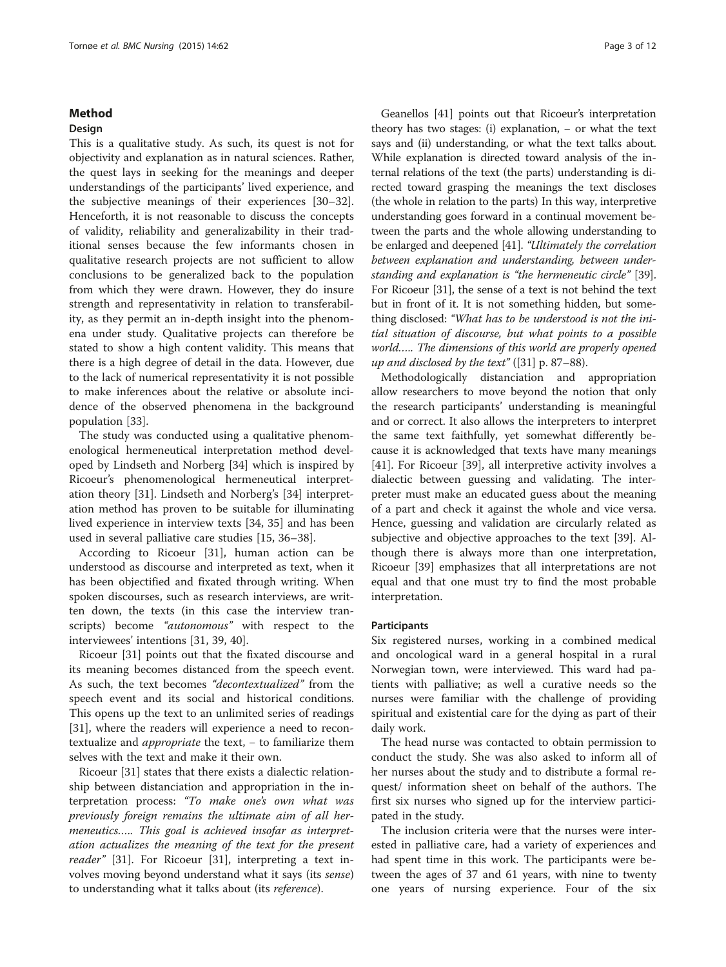#### Method

## Design

This is a qualitative study. As such, its quest is not for objectivity and explanation as in natural sciences. Rather, the quest lays in seeking for the meanings and deeper understandings of the participants' lived experience, and the subjective meanings of their experiences [[30](#page-10-0)–[32](#page-10-0)]. Henceforth, it is not reasonable to discuss the concepts of validity, reliability and generalizability in their traditional senses because the few informants chosen in qualitative research projects are not sufficient to allow conclusions to be generalized back to the population from which they were drawn. However, they do insure strength and representativity in relation to transferability, as they permit an in-depth insight into the phenomena under study. Qualitative projects can therefore be stated to show a high content validity. This means that there is a high degree of detail in the data. However, due to the lack of numerical representativity it is not possible to make inferences about the relative or absolute incidence of the observed phenomena in the background population [[33\]](#page-10-0).

The study was conducted using a qualitative phenomenological hermeneutical interpretation method developed by Lindseth and Norberg [[34\]](#page-10-0) which is inspired by Ricoeur's phenomenological hermeneutical interpretation theory [\[31](#page-10-0)]. Lindseth and Norberg's [\[34\]](#page-10-0) interpretation method has proven to be suitable for illuminating lived experience in interview texts [\[34](#page-10-0), [35\]](#page-10-0) and has been used in several palliative care studies [[15](#page-10-0), [36](#page-10-0)–[38\]](#page-10-0).

According to Ricoeur [[31](#page-10-0)], human action can be understood as discourse and interpreted as text, when it has been objectified and fixated through writing. When spoken discourses, such as research interviews, are written down, the texts (in this case the interview transcripts) become "autonomous" with respect to the interviewees' intentions [\[31, 39,](#page-10-0) [40\]](#page-11-0).

Ricoeur [\[31\]](#page-10-0) points out that the fixated discourse and its meaning becomes distanced from the speech event. As such, the text becomes "decontextualized" from the speech event and its social and historical conditions. This opens up the text to an unlimited series of readings [[31\]](#page-10-0), where the readers will experience a need to recontextualize and *appropriate* the text, – to familiarize them selves with the text and make it their own.

Ricoeur [\[31](#page-10-0)] states that there exists a dialectic relationship between distanciation and appropriation in the interpretation process: "To make one's own what was previously foreign remains the ultimate aim of all hermeneutics….. This goal is achieved insofar as interpretation actualizes the meaning of the text for the present reader" [[31\]](#page-10-0). For Ricoeur [\[31](#page-10-0)], interpreting a text involves moving beyond understand what it says (its sense) to understanding what it talks about (its reference).

Geanellos [\[41\]](#page-11-0) points out that Ricoeur's interpretation theory has two stages: (i) explanation, − or what the text says and (ii) understanding, or what the text talks about. While explanation is directed toward analysis of the internal relations of the text (the parts) understanding is directed toward grasping the meanings the text discloses (the whole in relation to the parts) In this way, interpretive understanding goes forward in a continual movement between the parts and the whole allowing understanding to be enlarged and deepened [[41](#page-11-0)]. "Ultimately the correlation between explanation and understanding, between understanding and explanation is "the hermeneutic circle" [[39](#page-10-0)]. For Ricoeur [\[31\]](#page-10-0), the sense of a text is not behind the text but in front of it. It is not something hidden, but something disclosed: "What has to be understood is not the initial situation of discourse, but what points to a possible world….. The dimensions of this world are properly opened up and disclosed by the text"  $(31]$  p. 87–88).

Methodologically distanciation and appropriation allow researchers to move beyond the notion that only the research participants' understanding is meaningful and or correct. It also allows the interpreters to interpret the same text faithfully, yet somewhat differently because it is acknowledged that texts have many meanings [[41\]](#page-11-0). For Ricoeur [\[39](#page-10-0)], all interpretive activity involves a dialectic between guessing and validating. The interpreter must make an educated guess about the meaning of a part and check it against the whole and vice versa. Hence, guessing and validation are circularly related as subjective and objective approaches to the text [[39\]](#page-10-0). Although there is always more than one interpretation, Ricoeur [\[39](#page-10-0)] emphasizes that all interpretations are not equal and that one must try to find the most probable interpretation.

#### Participants

Six registered nurses, working in a combined medical and oncological ward in a general hospital in a rural Norwegian town, were interviewed. This ward had patients with palliative; as well a curative needs so the nurses were familiar with the challenge of providing spiritual and existential care for the dying as part of their daily work.

The head nurse was contacted to obtain permission to conduct the study. She was also asked to inform all of her nurses about the study and to distribute a formal request/ information sheet on behalf of the authors. The first six nurses who signed up for the interview participated in the study.

The inclusion criteria were that the nurses were interested in palliative care, had a variety of experiences and had spent time in this work. The participants were between the ages of 37 and 61 years, with nine to twenty one years of nursing experience. Four of the six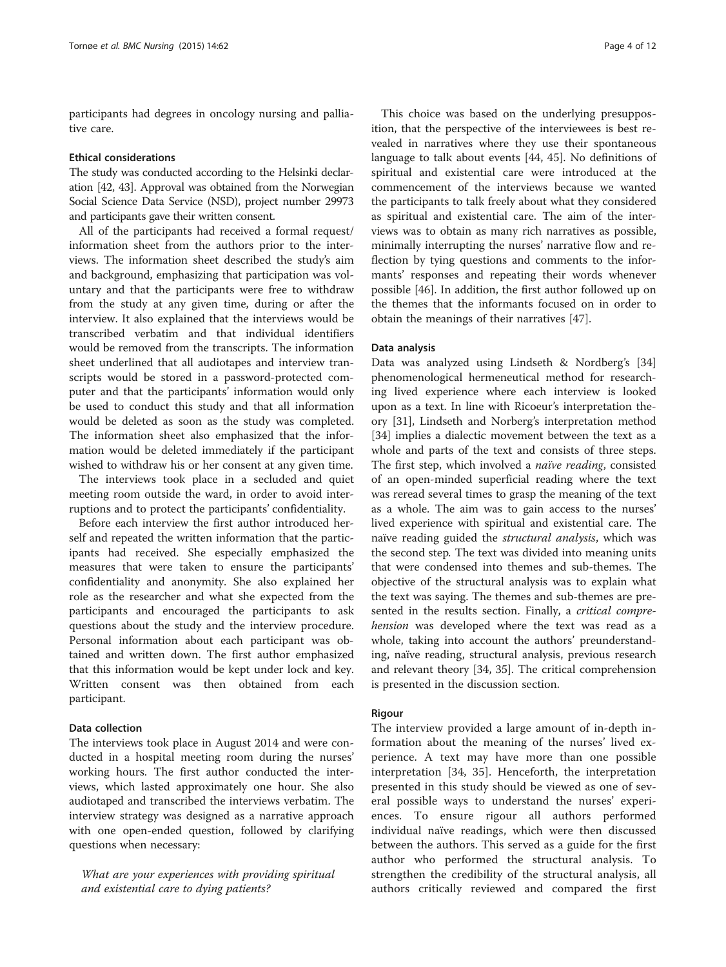participants had degrees in oncology nursing and palliative care.

#### Ethical considerations

The study was conducted according to the Helsinki declaration [[42](#page-11-0), [43\]](#page-11-0). Approval was obtained from the Norwegian Social Science Data Service (NSD), project number 29973 and participants gave their written consent.

All of the participants had received a formal request/ information sheet from the authors prior to the interviews. The information sheet described the study's aim and background, emphasizing that participation was voluntary and that the participants were free to withdraw from the study at any given time, during or after the interview. It also explained that the interviews would be transcribed verbatim and that individual identifiers would be removed from the transcripts. The information sheet underlined that all audiotapes and interview transcripts would be stored in a password-protected computer and that the participants' information would only be used to conduct this study and that all information would be deleted as soon as the study was completed. The information sheet also emphasized that the information would be deleted immediately if the participant wished to withdraw his or her consent at any given time.

The interviews took place in a secluded and quiet meeting room outside the ward, in order to avoid interruptions and to protect the participants' confidentiality.

Before each interview the first author introduced herself and repeated the written information that the participants had received. She especially emphasized the measures that were taken to ensure the participants' confidentiality and anonymity. She also explained her role as the researcher and what she expected from the participants and encouraged the participants to ask questions about the study and the interview procedure. Personal information about each participant was obtained and written down. The first author emphasized that this information would be kept under lock and key. Written consent was then obtained from each participant.

## Data collection

The interviews took place in August 2014 and were conducted in a hospital meeting room during the nurses' working hours. The first author conducted the interviews, which lasted approximately one hour. She also audiotaped and transcribed the interviews verbatim. The interview strategy was designed as a narrative approach with one open-ended question, followed by clarifying questions when necessary:

What are your experiences with providing spiritual and existential care to dying patients?

This choice was based on the underlying presupposition, that the perspective of the interviewees is best revealed in narratives where they use their spontaneous language to talk about events [[44, 45](#page-11-0)]. No definitions of spiritual and existential care were introduced at the commencement of the interviews because we wanted the participants to talk freely about what they considered as spiritual and existential care. The aim of the interviews was to obtain as many rich narratives as possible, minimally interrupting the nurses' narrative flow and reflection by tying questions and comments to the informants' responses and repeating their words whenever possible [\[46](#page-11-0)]. In addition, the first author followed up on the themes that the informants focused on in order to obtain the meanings of their narratives [\[47\]](#page-11-0).

## Data analysis

Data was analyzed using Lindseth & Nordberg's [[34](#page-10-0)] phenomenological hermeneutical method for researching lived experience where each interview is looked upon as a text. In line with Ricoeur's interpretation theory [\[31\]](#page-10-0), Lindseth and Norberg's interpretation method [[34\]](#page-10-0) implies a dialectic movement between the text as a whole and parts of the text and consists of three steps. The first step, which involved a naïve reading, consisted of an open-minded superficial reading where the text was reread several times to grasp the meaning of the text as a whole. The aim was to gain access to the nurses' lived experience with spiritual and existential care. The naïve reading guided the *structural analysis*, which was the second step. The text was divided into meaning units that were condensed into themes and sub-themes. The objective of the structural analysis was to explain what the text was saying. The themes and sub-themes are presented in the results section. Finally, a *critical compre*hension was developed where the text was read as a whole, taking into account the authors' preunderstanding, naïve reading, structural analysis, previous research and relevant theory [\[34](#page-10-0), [35](#page-10-0)]. The critical comprehension is presented in the discussion section.

#### Rigour

The interview provided a large amount of in-depth information about the meaning of the nurses' lived experience. A text may have more than one possible interpretation [[34, 35\]](#page-10-0). Henceforth, the interpretation presented in this study should be viewed as one of several possible ways to understand the nurses' experiences. To ensure rigour all authors performed individual naïve readings, which were then discussed between the authors. This served as a guide for the first author who performed the structural analysis. To strengthen the credibility of the structural analysis, all authors critically reviewed and compared the first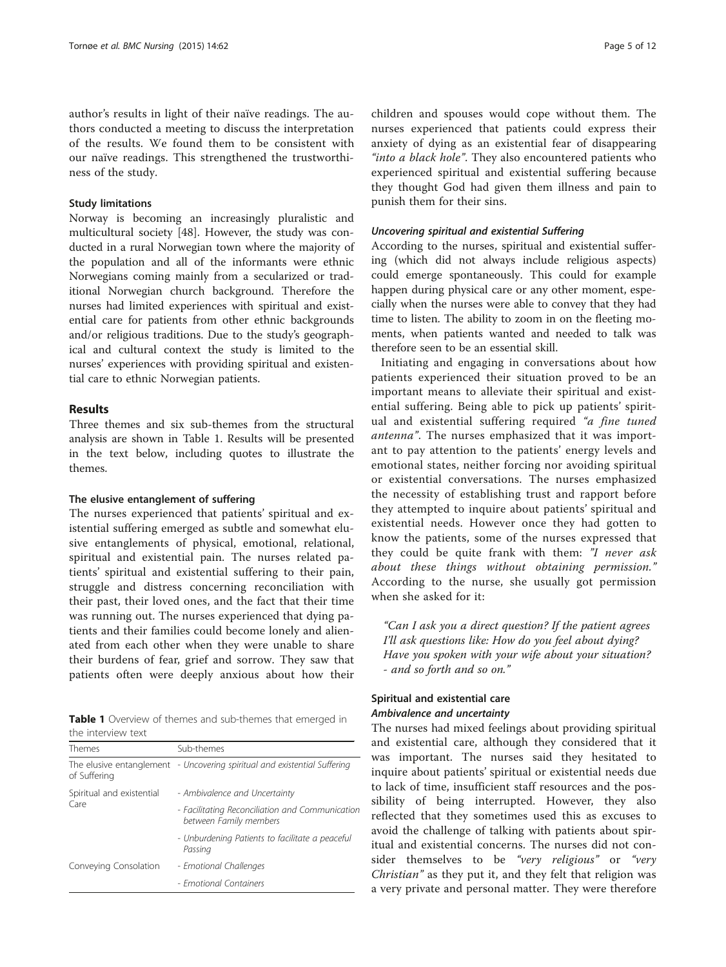author's results in light of their naïve readings. The authors conducted a meeting to discuss the interpretation of the results. We found them to be consistent with our naïve readings. This strengthened the trustworthiness of the study.

## Study limitations

Norway is becoming an increasingly pluralistic and multicultural society [[48\]](#page-11-0). However, the study was conducted in a rural Norwegian town where the majority of the population and all of the informants were ethnic Norwegians coming mainly from a secularized or traditional Norwegian church background. Therefore the nurses had limited experiences with spiritual and existential care for patients from other ethnic backgrounds and/or religious traditions. Due to the study's geographical and cultural context the study is limited to the nurses' experiences with providing spiritual and existential care to ethnic Norwegian patients.

## Results

Three themes and six sub-themes from the structural analysis are shown in Table 1. Results will be presented in the text below, including quotes to illustrate the themes.

#### The elusive entanglement of suffering

The nurses experienced that patients' spiritual and existential suffering emerged as subtle and somewhat elusive entanglements of physical, emotional, relational, spiritual and existential pain. The nurses related patients' spiritual and existential suffering to their pain, struggle and distress concerning reconciliation with their past, their loved ones, and the fact that their time was running out. The nurses experienced that dying patients and their families could become lonely and alienated from each other when they were unable to share their burdens of fear, grief and sorrow. They saw that patients often were deeply anxious about how their

Table 1 Overview of themes and sub-themes that emerged in the interview text

| Themes                               | Sub-themes                                                                |
|--------------------------------------|---------------------------------------------------------------------------|
| of Suffering                         | The elusive entanglement - Uncovering spiritual and existential Suffering |
| Spiritual and existential<br>$C$ are | - Ambivalence and Uncertainty                                             |
|                                      | - Facilitating Reconciliation and Communication<br>between Family members |
|                                      | - Unburdening Patients to facilitate a peaceful<br>Passing                |
| Conveying Consolation                | - Emotional Challenges                                                    |
|                                      | - Emotional Containers                                                    |

children and spouses would cope without them. The nurses experienced that patients could express their anxiety of dying as an existential fear of disappearing "into a black hole". They also encountered patients who experienced spiritual and existential suffering because they thought God had given them illness and pain to punish them for their sins.

#### Uncovering spiritual and existential Suffering

According to the nurses, spiritual and existential suffering (which did not always include religious aspects) could emerge spontaneously. This could for example happen during physical care or any other moment, especially when the nurses were able to convey that they had time to listen. The ability to zoom in on the fleeting moments, when patients wanted and needed to talk was therefore seen to be an essential skill.

Initiating and engaging in conversations about how patients experienced their situation proved to be an important means to alleviate their spiritual and existential suffering. Being able to pick up patients' spiritual and existential suffering required "a fine tuned antenna". The nurses emphasized that it was important to pay attention to the patients' energy levels and emotional states, neither forcing nor avoiding spiritual or existential conversations. The nurses emphasized the necessity of establishing trust and rapport before they attempted to inquire about patients' spiritual and existential needs. However once they had gotten to know the patients, some of the nurses expressed that they could be quite frank with them: "I never ask about these things without obtaining permission." According to the nurse, she usually got permission when she asked for it:

"Can I ask you a direct question? If the patient agrees I'll ask questions like: How do you feel about dying? Have you spoken with your wife about your situation? - and so forth and so on."

## Spiritual and existential care Ambivalence and uncertainty

The nurses had mixed feelings about providing spiritual and existential care, although they considered that it was important. The nurses said they hesitated to inquire about patients' spiritual or existential needs due to lack of time, insufficient staff resources and the possibility of being interrupted. However, they also reflected that they sometimes used this as excuses to avoid the challenge of talking with patients about spiritual and existential concerns. The nurses did not consider themselves to be "very religious" or "very Christian" as they put it, and they felt that religion was a very private and personal matter. They were therefore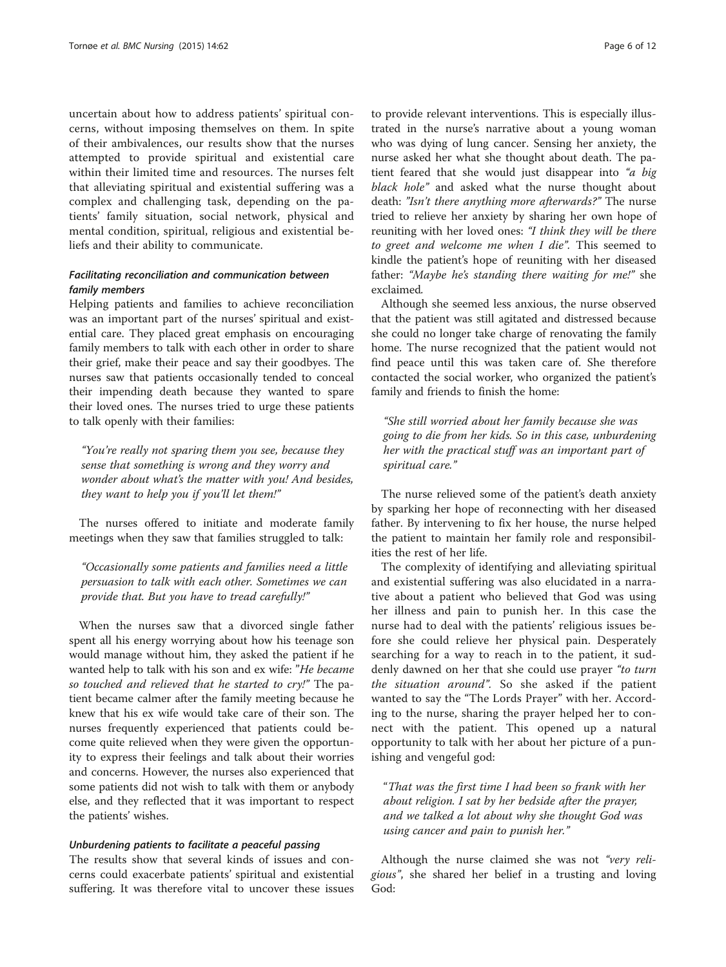uncertain about how to address patients' spiritual concerns, without imposing themselves on them. In spite of their ambivalences, our results show that the nurses attempted to provide spiritual and existential care within their limited time and resources. The nurses felt that alleviating spiritual and existential suffering was a complex and challenging task, depending on the patients' family situation, social network, physical and mental condition, spiritual, religious and existential beliefs and their ability to communicate.

## Facilitating reconciliation and communication between family members

Helping patients and families to achieve reconciliation was an important part of the nurses' spiritual and existential care. They placed great emphasis on encouraging family members to talk with each other in order to share their grief, make their peace and say their goodbyes. The nurses saw that patients occasionally tended to conceal their impending death because they wanted to spare their loved ones. The nurses tried to urge these patients to talk openly with their families:

"You're really not sparing them you see, because they sense that something is wrong and they worry and wonder about what's the matter with you! And besides, they want to help you if you'll let them!"

The nurses offered to initiate and moderate family meetings when they saw that families struggled to talk:

"Occasionally some patients and families need a little persuasion to talk with each other. Sometimes we can provide that. But you have to tread carefully!"

When the nurses saw that a divorced single father spent all his energy worrying about how his teenage son would manage without him, they asked the patient if he wanted help to talk with his son and ex wife: "He became so touched and relieved that he started to cry!" The patient became calmer after the family meeting because he knew that his ex wife would take care of their son. The nurses frequently experienced that patients could become quite relieved when they were given the opportunity to express their feelings and talk about their worries and concerns. However, the nurses also experienced that some patients did not wish to talk with them or anybody else, and they reflected that it was important to respect the patients' wishes.

#### Unburdening patients to facilitate a peaceful passing

The results show that several kinds of issues and concerns could exacerbate patients' spiritual and existential suffering. It was therefore vital to uncover these issues

to provide relevant interventions. This is especially illustrated in the nurse's narrative about a young woman who was dying of lung cancer. Sensing her anxiety, the nurse asked her what she thought about death. The patient feared that she would just disappear into "a big black hole" and asked what the nurse thought about death: "Isn't there anything more afterwards?" The nurse tried to relieve her anxiety by sharing her own hope of reuniting with her loved ones: "I think they will be there to greet and welcome me when I die". This seemed to kindle the patient's hope of reuniting with her diseased father: "Maybe he's standing there waiting for me!" she exclaimed.

Although she seemed less anxious, the nurse observed that the patient was still agitated and distressed because she could no longer take charge of renovating the family home. The nurse recognized that the patient would not find peace until this was taken care of. She therefore contacted the social worker, who organized the patient's family and friends to finish the home:

"She still worried about her family because she was going to die from her kids. So in this case, unburdening her with the practical stuff was an important part of spiritual care."

The nurse relieved some of the patient's death anxiety by sparking her hope of reconnecting with her diseased father. By intervening to fix her house, the nurse helped the patient to maintain her family role and responsibilities the rest of her life.

The complexity of identifying and alleviating spiritual and existential suffering was also elucidated in a narrative about a patient who believed that God was using her illness and pain to punish her. In this case the nurse had to deal with the patients' religious issues before she could relieve her physical pain. Desperately searching for a way to reach in to the patient, it suddenly dawned on her that she could use prayer "to turn the situation around". So she asked if the patient wanted to say the "The Lords Prayer" with her. According to the nurse, sharing the prayer helped her to connect with the patient. This opened up a natural opportunity to talk with her about her picture of a punishing and vengeful god:

"That was the first time I had been so frank with her about religion. I sat by her bedside after the prayer, and we talked a lot about why she thought God was using cancer and pain to punish her."

Although the nurse claimed she was not "very religious", she shared her belief in a trusting and loving God: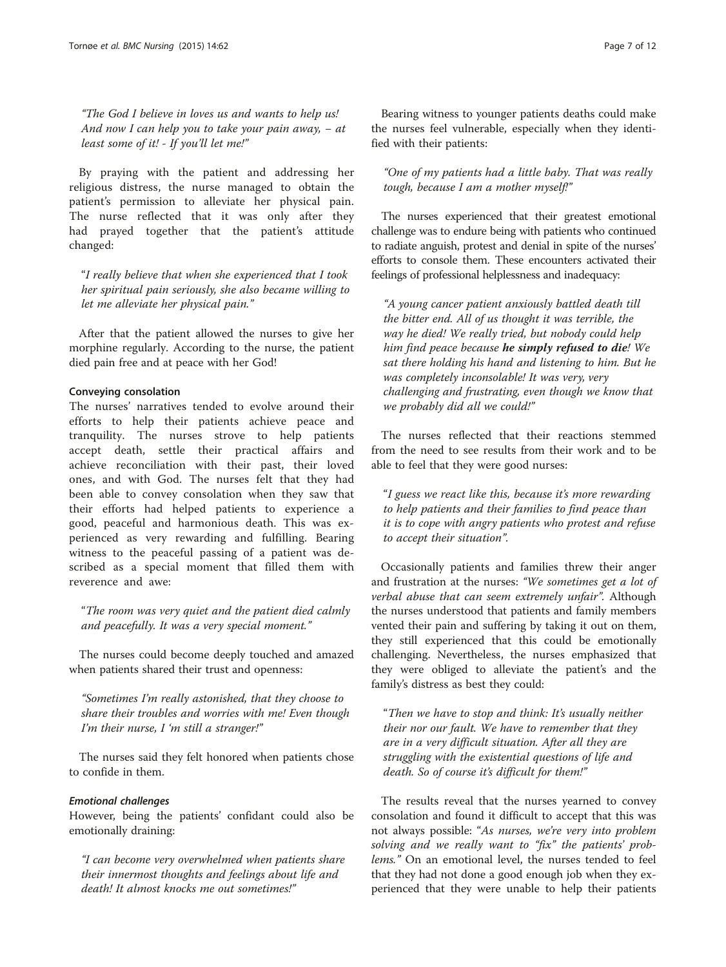"The God I believe in loves us and wants to help us! And now I can help you to take your pain away,  $-$  at least some of it! - If you'll let me!"

By praying with the patient and addressing her religious distress, the nurse managed to obtain the patient's permission to alleviate her physical pain. The nurse reflected that it was only after they had prayed together that the patient's attitude changed:

"I really believe that when she experienced that I took her spiritual pain seriously, she also became willing to let me alleviate her physical pain."

After that the patient allowed the nurses to give her morphine regularly. According to the nurse, the patient died pain free and at peace with her God!

## Conveying consolation

The nurses' narratives tended to evolve around their efforts to help their patients achieve peace and tranquility. The nurses strove to help patients accept death, settle their practical affairs and achieve reconciliation with their past, their loved ones, and with God. The nurses felt that they had been able to convey consolation when they saw that their efforts had helped patients to experience a good, peaceful and harmonious death. This was experienced as very rewarding and fulfilling. Bearing witness to the peaceful passing of a patient was described as a special moment that filled them with reverence and awe:

"The room was very quiet and the patient died calmly and peacefully. It was a very special moment."

The nurses could become deeply touched and amazed when patients shared their trust and openness:

"Sometimes I'm really astonished, that they choose to share their troubles and worries with me! Even though I'm their nurse,  $I$  'm still a stranger!"

The nurses said they felt honored when patients chose to confide in them.

## Emotional challenges

However, being the patients' confidant could also be emotionally draining:

"I can become very overwhelmed when patients share their innermost thoughts and feelings about life and death! It almost knocks me out sometimes!"

Bearing witness to younger patients deaths could make the nurses feel vulnerable, especially when they identified with their patients:

"One of my patients had a little baby. That was really tough, because I am a mother myself!"

The nurses experienced that their greatest emotional challenge was to endure being with patients who continued to radiate anguish, protest and denial in spite of the nurses' efforts to console them. These encounters activated their feelings of professional helplessness and inadequacy:

"A young cancer patient anxiously battled death till the bitter end. All of us thought it was terrible, the way he died! We really tried, but nobody could help him find peace because he simply refused to die! We sat there holding his hand and listening to him. But he was completely inconsolable! It was very, very challenging and frustrating, even though we know that we probably did all we could!"

The nurses reflected that their reactions stemmed from the need to see results from their work and to be able to feel that they were good nurses:

"I guess we react like this, because it's more rewarding to help patients and their families to find peace than it is to cope with angry patients who protest and refuse to accept their situation".

Occasionally patients and families threw their anger and frustration at the nurses: "We sometimes get a lot of verbal abuse that can seem extremely unfair". Although the nurses understood that patients and family members vented their pain and suffering by taking it out on them, they still experienced that this could be emotionally challenging. Nevertheless, the nurses emphasized that they were obliged to alleviate the patient's and the family's distress as best they could:

"Then we have to stop and think: It's usually neither their nor our fault. We have to remember that they are in a very difficult situation. After all they are struggling with the existential questions of life and death. So of course it's difficult for them!"

The results reveal that the nurses yearned to convey consolation and found it difficult to accept that this was not always possible: "As nurses, we're very into problem solving and we really want to "fix" the patients' problems." On an emotional level, the nurses tended to feel that they had not done a good enough job when they experienced that they were unable to help their patients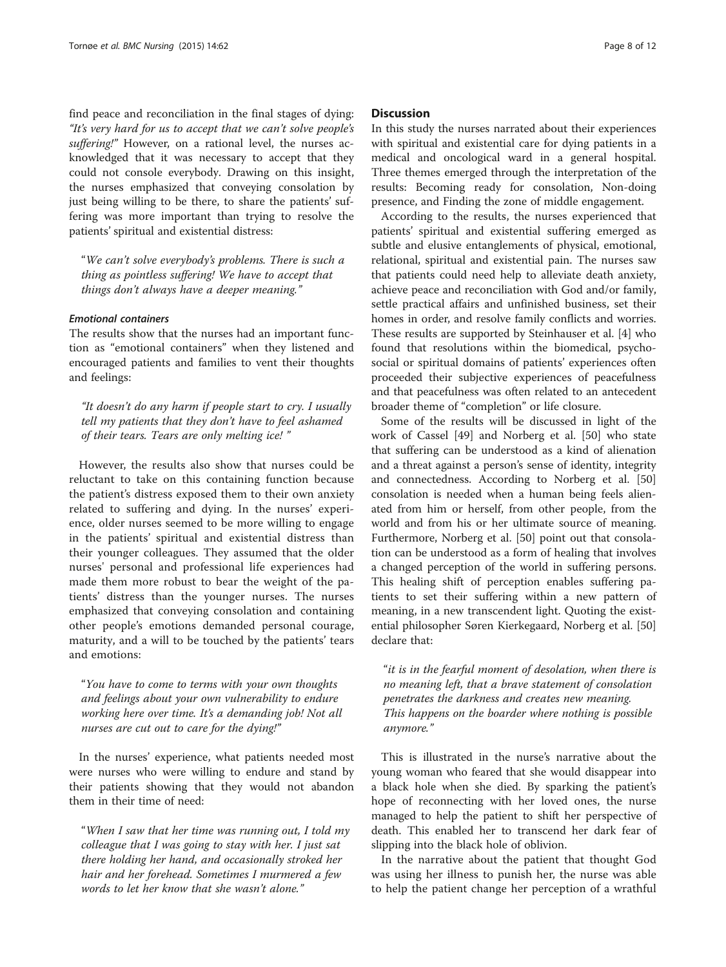find peace and reconciliation in the final stages of dying: "It's very hard for us to accept that we can't solve people's suffering!" However, on a rational level, the nurses acknowledged that it was necessary to accept that they could not console everybody. Drawing on this insight, the nurses emphasized that conveying consolation by just being willing to be there, to share the patients' suffering was more important than trying to resolve the patients' spiritual and existential distress:

"We can't solve everybody's problems. There is such a thing as pointless suffering! We have to accept that things don't always have a deeper meaning."

#### Emotional containers

The results show that the nurses had an important function as "emotional containers" when they listened and encouraged patients and families to vent their thoughts and feelings:

"It doesn't do any harm if people start to cry. I usually tell my patients that they don't have to feel ashamed of their tears. Tears are only melting ice! "

However, the results also show that nurses could be reluctant to take on this containing function because the patient's distress exposed them to their own anxiety related to suffering and dying. In the nurses' experience, older nurses seemed to be more willing to engage in the patients' spiritual and existential distress than their younger colleagues. They assumed that the older nurses' personal and professional life experiences had made them more robust to bear the weight of the patients' distress than the younger nurses. The nurses emphasized that conveying consolation and containing other people's emotions demanded personal courage, maturity, and a will to be touched by the patients' tears and emotions:

"You have to come to terms with your own thoughts and feelings about your own vulnerability to endure working here over time. It's a demanding job! Not all nurses are cut out to care for the dying!"

In the nurses' experience, what patients needed most were nurses who were willing to endure and stand by their patients showing that they would not abandon them in their time of need:

"When I saw that her time was running out, I told my colleague that I was going to stay with her. I just sat there holding her hand, and occasionally stroked her hair and her forehead. Sometimes I murmered a few words to let her know that she wasn't alone."

#### **Discussion**

In this study the nurses narrated about their experiences with spiritual and existential care for dying patients in a medical and oncological ward in a general hospital. Three themes emerged through the interpretation of the results: Becoming ready for consolation, Non-doing presence, and Finding the zone of middle engagement.

According to the results, the nurses experienced that patients' spiritual and existential suffering emerged as subtle and elusive entanglements of physical, emotional, relational, spiritual and existential pain. The nurses saw that patients could need help to alleviate death anxiety, achieve peace and reconciliation with God and/or family, settle practical affairs and unfinished business, set their homes in order, and resolve family conflicts and worries. These results are supported by Steinhauser et al. [\[4](#page-10-0)] who found that resolutions within the biomedical, psychosocial or spiritual domains of patients' experiences often proceeded their subjective experiences of peacefulness and that peacefulness was often related to an antecedent broader theme of "completion" or life closure.

Some of the results will be discussed in light of the work of Cassel [[49\]](#page-11-0) and Norberg et al. [\[50](#page-11-0)] who state that suffering can be understood as a kind of alienation and a threat against a person's sense of identity, integrity and connectedness. According to Norberg et al. [[50](#page-11-0)] consolation is needed when a human being feels alienated from him or herself, from other people, from the world and from his or her ultimate source of meaning. Furthermore, Norberg et al. [[50](#page-11-0)] point out that consolation can be understood as a form of healing that involves a changed perception of the world in suffering persons. This healing shift of perception enables suffering patients to set their suffering within a new pattern of meaning, in a new transcendent light. Quoting the existential philosopher Søren Kierkegaard, Norberg et al. [[50](#page-11-0)] declare that:

"it is in the fearful moment of desolation, when there is no meaning left, that a brave statement of consolation penetrates the darkness and creates new meaning. This happens on the boarder where nothing is possible anymore."

This is illustrated in the nurse's narrative about the young woman who feared that she would disappear into a black hole when she died. By sparking the patient's hope of reconnecting with her loved ones, the nurse managed to help the patient to shift her perspective of death. This enabled her to transcend her dark fear of slipping into the black hole of oblivion.

In the narrative about the patient that thought God was using her illness to punish her, the nurse was able to help the patient change her perception of a wrathful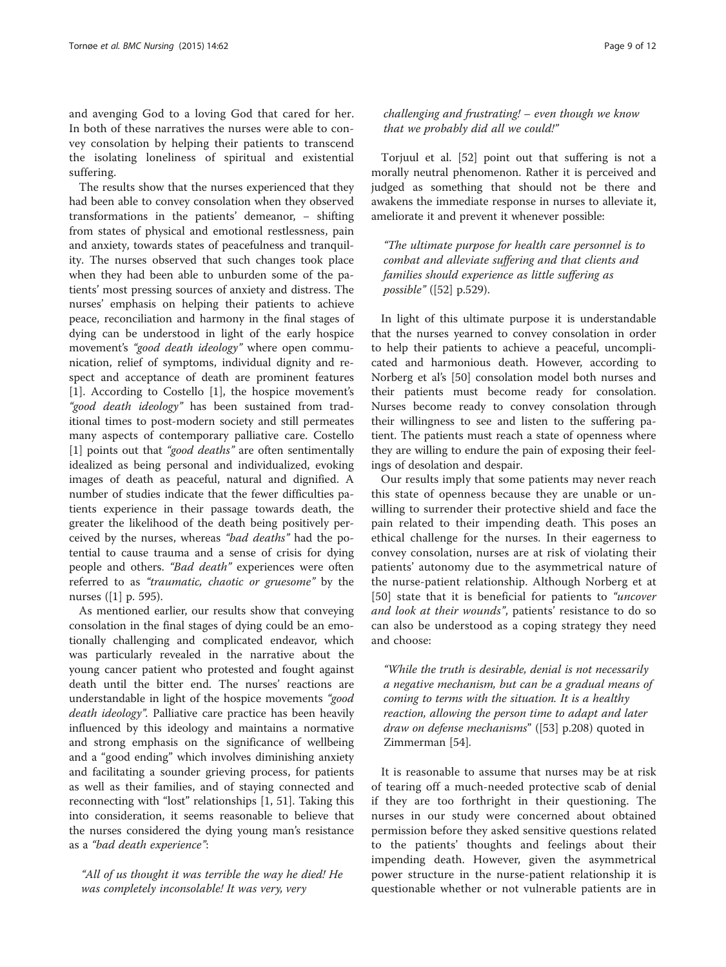and avenging God to a loving God that cared for her. In both of these narratives the nurses were able to convey consolation by helping their patients to transcend the isolating loneliness of spiritual and existential suffering.

The results show that the nurses experienced that they had been able to convey consolation when they observed transformations in the patients' demeanor, − shifting from states of physical and emotional restlessness, pain and anxiety, towards states of peacefulness and tranquility. The nurses observed that such changes took place when they had been able to unburden some of the patients' most pressing sources of anxiety and distress. The nurses' emphasis on helping their patients to achieve peace, reconciliation and harmony in the final stages of dying can be understood in light of the early hospice movement's "good death ideology" where open communication, relief of symptoms, individual dignity and respect and acceptance of death are prominent features [[1\]](#page-10-0). According to Costello [[1\]](#page-10-0), the hospice movement's "good death ideology" has been sustained from traditional times to post-modern society and still permeates many aspects of contemporary palliative care. Costello [[1\]](#page-10-0) points out that "good deaths" are often sentimentally idealized as being personal and individualized, evoking images of death as peaceful, natural and dignified. A number of studies indicate that the fewer difficulties patients experience in their passage towards death, the greater the likelihood of the death being positively perceived by the nurses, whereas "bad deaths" had the potential to cause trauma and a sense of crisis for dying people and others. "Bad death" experiences were often referred to as "traumatic, chaotic or gruesome" by the nurses ([\[1](#page-10-0)] p. 595).

As mentioned earlier, our results show that conveying consolation in the final stages of dying could be an emotionally challenging and complicated endeavor, which was particularly revealed in the narrative about the young cancer patient who protested and fought against death until the bitter end. The nurses' reactions are understandable in light of the hospice movements "good death *ideology*". Palliative care practice has been heavily influenced by this ideology and maintains a normative and strong emphasis on the significance of wellbeing and a "good ending" which involves diminishing anxiety and facilitating a sounder grieving process, for patients as well as their families, and of staying connected and reconnecting with "lost" relationships [[1,](#page-10-0) [51\]](#page-11-0). Taking this into consideration, it seems reasonable to believe that the nurses considered the dying young man's resistance as a "bad death experience":

"All of us thought it was terrible the way he died! He was completely inconsolable! It was very, very

## challenging and frustrating! – even though we know that we probably did all we could!"

Torjuul et al. [[52\]](#page-11-0) point out that suffering is not a morally neutral phenomenon. Rather it is perceived and judged as something that should not be there and awakens the immediate response in nurses to alleviate it, ameliorate it and prevent it whenever possible:

"The ultimate purpose for health care personnel is to combat and alleviate suffering and that clients and families should experience as little suffering as possible" ([[52\]](#page-11-0) p.529).

In light of this ultimate purpose it is understandable that the nurses yearned to convey consolation in order to help their patients to achieve a peaceful, uncomplicated and harmonious death. However, according to Norberg et al's [\[50](#page-11-0)] consolation model both nurses and their patients must become ready for consolation. Nurses become ready to convey consolation through their willingness to see and listen to the suffering patient. The patients must reach a state of openness where they are willing to endure the pain of exposing their feelings of desolation and despair.

Our results imply that some patients may never reach this state of openness because they are unable or unwilling to surrender their protective shield and face the pain related to their impending death. This poses an ethical challenge for the nurses. In their eagerness to convey consolation, nurses are at risk of violating their patients' autonomy due to the asymmetrical nature of the nurse-patient relationship. Although Norberg et at [[50](#page-11-0)] state that it is beneficial for patients to "uncover and look at their wounds", patients' resistance to do so can also be understood as a coping strategy they need and choose:

"While the truth is desirable, denial is not necessarily a negative mechanism, but can be a gradual means of coming to terms with the situation. It is a healthy reaction, allowing the person time to adapt and later draw on defense mechanisms" ([\[53](#page-11-0)] p.208) quoted in Zimmerman [[54\]](#page-11-0).

It is reasonable to assume that nurses may be at risk of tearing off a much-needed protective scab of denial if they are too forthright in their questioning. The nurses in our study were concerned about obtained permission before they asked sensitive questions related to the patients' thoughts and feelings about their impending death. However, given the asymmetrical power structure in the nurse-patient relationship it is questionable whether or not vulnerable patients are in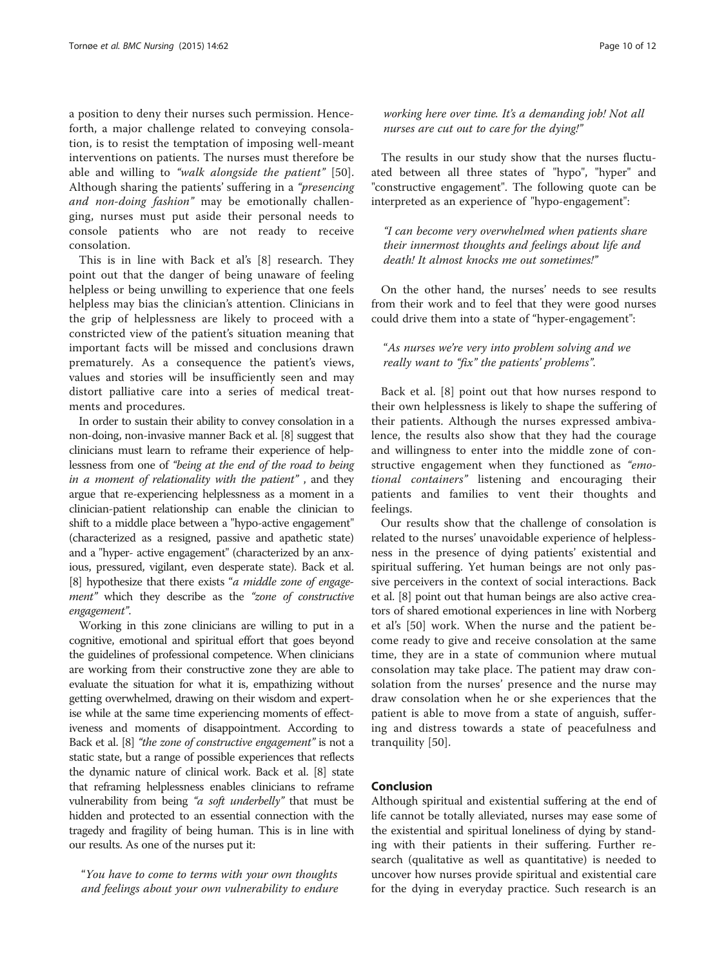a position to deny their nurses such permission. Henceforth, a major challenge related to conveying consolation, is to resist the temptation of imposing well-meant interventions on patients. The nurses must therefore be able and willing to "walk alongside the patient" [[50](#page-11-0)]. Although sharing the patients' suffering in a "presencing and non-doing fashion" may be emotionally challenging, nurses must put aside their personal needs to console patients who are not ready to receive consolation.

This is in line with Back et al's [\[8](#page-10-0)] research. They point out that the danger of being unaware of feeling helpless or being unwilling to experience that one feels helpless may bias the clinician's attention. Clinicians in the grip of helplessness are likely to proceed with a constricted view of the patient's situation meaning that important facts will be missed and conclusions drawn prematurely. As a consequence the patient's views, values and stories will be insufficiently seen and may distort palliative care into a series of medical treatments and procedures.

In order to sustain their ability to convey consolation in a non-doing, non-invasive manner Back et al. [\[8](#page-10-0)] suggest that clinicians must learn to reframe their experience of helplessness from one of "being at the end of the road to being in a moment of relationality with the patient" , and they argue that re-experiencing helplessness as a moment in a clinician-patient relationship can enable the clinician to shift to a middle place between a "hypo-active engagement" (characterized as a resigned, passive and apathetic state) and a "hyper- active engagement" (characterized by an anxious, pressured, vigilant, even desperate state). Back et al. [[8](#page-10-0)] hypothesize that there exists "a middle zone of engagement" which they describe as the "zone of constructive engagement".

Working in this zone clinicians are willing to put in a cognitive, emotional and spiritual effort that goes beyond the guidelines of professional competence. When clinicians are working from their constructive zone they are able to evaluate the situation for what it is, empathizing without getting overwhelmed, drawing on their wisdom and expertise while at the same time experiencing moments of effectiveness and moments of disappointment. According to Back et al. [[8](#page-10-0)] "the zone of constructive engagement" is not a static state, but a range of possible experiences that reflects the dynamic nature of clinical work. Back et al. [\[8](#page-10-0)] state that reframing helplessness enables clinicians to reframe vulnerability from being "*a soft underbelly*" that must be hidden and protected to an essential connection with the tragedy and fragility of being human. This is in line with our results. As one of the nurses put it:

"You have to come to terms with your own thoughts and feelings about your own vulnerability to endure working here over time. It's a demanding job! Not all nurses are cut out to care for the dying!"

The results in our study show that the nurses fluctuated between all three states of "hypo", "hyper" and "constructive engagement". The following quote can be interpreted as an experience of "hypo-engagement":

"I can become very overwhelmed when patients share their innermost thoughts and feelings about life and death! It almost knocks me out sometimes!"

On the other hand, the nurses' needs to see results from their work and to feel that they were good nurses could drive them into a state of "hyper-engagement":

"As nurses we're very into problem solving and we really want to "fix" the patients' problems".

Back et al. [[8\]](#page-10-0) point out that how nurses respond to their own helplessness is likely to shape the suffering of their patients. Although the nurses expressed ambivalence, the results also show that they had the courage and willingness to enter into the middle zone of constructive engagement when they functioned as "emotional containers" listening and encouraging their patients and families to vent their thoughts and feelings.

Our results show that the challenge of consolation is related to the nurses' unavoidable experience of helplessness in the presence of dying patients' existential and spiritual suffering. Yet human beings are not only passive perceivers in the context of social interactions. Back et al. [[8\]](#page-10-0) point out that human beings are also active creators of shared emotional experiences in line with Norberg et al's [[50\]](#page-11-0) work. When the nurse and the patient become ready to give and receive consolation at the same time, they are in a state of communion where mutual consolation may take place. The patient may draw consolation from the nurses' presence and the nurse may draw consolation when he or she experiences that the patient is able to move from a state of anguish, suffering and distress towards a state of peacefulness and tranquility [[50](#page-11-0)].

## Conclusion

Although spiritual and existential suffering at the end of life cannot be totally alleviated, nurses may ease some of the existential and spiritual loneliness of dying by standing with their patients in their suffering. Further research (qualitative as well as quantitative) is needed to uncover how nurses provide spiritual and existential care for the dying in everyday practice. Such research is an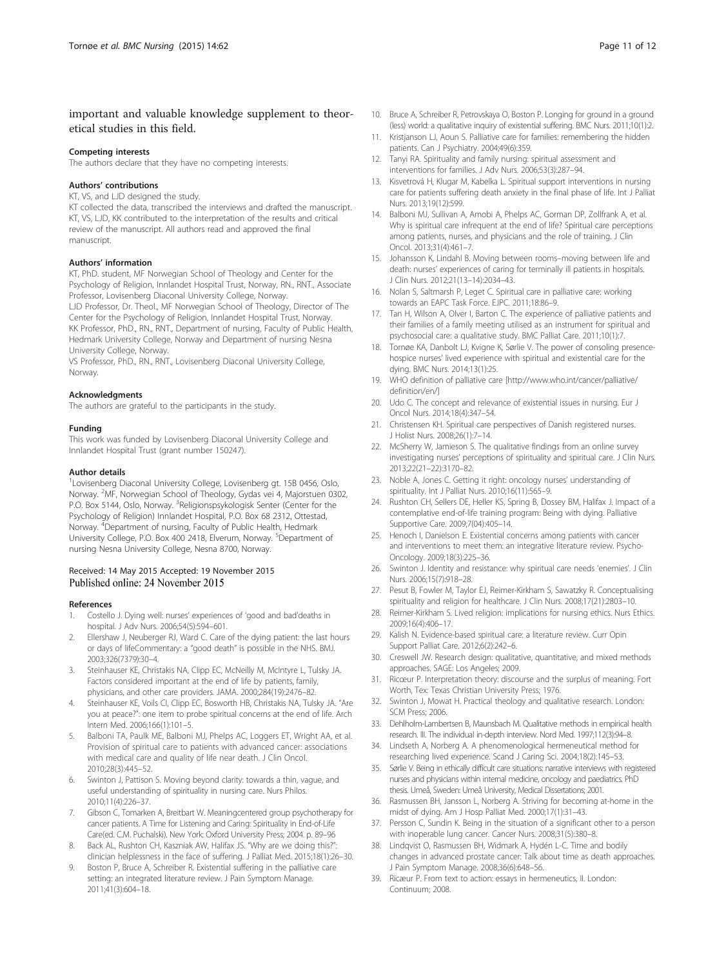## <span id="page-10-0"></span>important and valuable knowledge supplement to theoretical studies in this field.

#### Competing interests

The authors declare that they have no competing interests.

#### Authors' contributions

KT, VS, and LJD designed the study.

KT collected the data, transcribed the interviews and drafted the manuscript. KT, VS, LJD, KK contributed to the interpretation of the results and critical review of the manuscript. All authors read and approved the final manuscript.

#### Authors' information

KT, PhD. student, MF Norwegian School of Theology and Center for the Psychology of Religion, Innlandet Hospital Trust, Norway, RN., RNT., Associate Professor, Lovisenberg Diaconal University College, Norway.

LJD Professor, Dr. Theol., MF Norwegian School of Theology, Director of The Center for the Psychology of Religion, Innlandet Hospital Trust, Norway. KK Professor, PhD., RN., RNT., Department of nursing, Faculty of Public Health, Hedmark University College, Norway and Department of nursing Nesna University College, Norway.

VS Professor, PhD., RN., RNT., Lovisenberg Diaconal University College, Norway.

#### Acknowledgments

The authors are grateful to the participants in the study.

#### Funding

This work was funded by Lovisenberg Diaconal University College and Innlandet Hospital Trust (grant number 150247).

#### Author details

<sup>1</sup> Lovisenberg Diaconal University College, Lovisenberg gt. 15B 0456, Oslo, Norway. <sup>2</sup> MF, Norwegian School of Theology, Gydas vei 4, Majorstuen 0302, P.O. Box 5144, Oslo, Norway. <sup>3</sup>Religionspsykologisk Senter (Center for the Psychology of Religion) Innlandet Hospital, P.O. Box 68 2312, Ottestad, Norway. <sup>4</sup> Department of nursing, Faculty of Public Health, Hedmark University College, P.O. Box 400 2418, Elverum, Norway. <sup>5</sup>Department of nursing Nesna University College, Nesna 8700, Norway.

#### Received: 14 May 2015 Accepted: 19 November 2015 Published online: 24 November 2015

#### References

- 1. Costello J. Dying well: nurses' experiences of 'good and bad'deaths in hospital. J Adv Nurs. 2006;54(5):594–601.
- 2. Ellershaw J, Neuberger RJ, Ward C. Care of the dying patient: the last hours or days of lifeCommentary: a "good death" is possible in the NHS. BMJ. 2003;326(7379):30–4.
- 3. Steinhauser KE, Christakis NA, Clipp EC, McNeilly M, McIntyre L, Tulsky JA. Factors considered important at the end of life by patients, family, physicians, and other care providers. JAMA. 2000;284(19):2476–82.
- Steinhauser KE, Voils CI, Clipp EC, Bosworth HB, Christakis NA, Tulsky JA. "Are you at peace?": one item to probe spiritual concerns at the end of life. Arch Intern Med. 2006;166(1):101–5.
- 5. Balboni TA, Paulk ME, Balboni MJ, Phelps AC, Loggers ET, Wright AA, et al. Provision of spiritual care to patients with advanced cancer: associations with medical care and quality of life near death. J Clin Oncol. 2010;28(3):445–52.
- Swinton J, Pattison S. Moving beyond clarity: towards a thin, vague, and useful understanding of spirituality in nursing care. Nurs Philos. 2010;11(4):226–37.
- 7. Gibson C, Tomarken A, Breitbart W. Meaningcentered group psychotherapy for cancer patients. A Time for Listening and Caring: Spirituality in End-of-Life Care(ed. C.M. Puchalski). New York: Oxford University Press; 2004. p. 89–96
- 8. Back AL, Rushton CH, Kaszniak AW, Halifax JS. "Why are we doing this?": clinician helplessness in the face of suffering. J Palliat Med. 2015;18(1):26–30.
- 9. Boston P, Bruce A, Schreiber R. Existential suffering in the palliative care setting: an integrated literature review. J Pain Symptom Manage. 2011;41(3):604–18.
- 10. Bruce A, Schreiber R, Petrovskaya O, Boston P. Longing for ground in a ground (less) world: a qualitative inquiry of existential suffering. BMC Nurs. 2011;10(1):2.
- 11. Kristianson LJ, Aoun S. Palliative care for families: remembering the hidden patients. Can J Psychiatry. 2004;49(6):359.
- 12. Tanyi RA. Spirituality and family nursing: spiritual assessment and interventions for families. J Adv Nurs. 2006;53(3):287–94.
- 13. Kisvetrová H, Klugar M, Kabelka L. Spiritual support interventions in nursing care for patients suffering death anxiety in the final phase of life. Int J Palliat Nurs. 2013;19(12):599.
- 14. Balboni MJ, Sullivan A, Amobi A, Phelps AC, Gorman DP, Zollfrank A, et al. Why is spiritual care infrequent at the end of life? Spiritual care perceptions among patients, nurses, and physicians and the role of training. J Clin Oncol. 2013;31(4):461–7.
- 15. Johansson K, Lindahl B. Moving between rooms–moving between life and death: nurses' experiences of caring for terminally ill patients in hospitals. J Clin Nurs. 2012;21(13–14):2034–43.
- 16. Nolan S, Saltmarsh P, Leget C. Spiritual care in palliative care: working towards an EAPC Task Force. EJPC. 2011;18:86–9.
- 17. Tan H, Wilson A, Olver I, Barton C. The experience of palliative patients and their families of a family meeting utilised as an instrument for spiritual and psychosocial care: a qualitative study. BMC Palliat Care. 2011;10(1):7.
- 18. Tornøe KA, Danbolt LJ, Kvigne K, Sørlie V. The power of consoling presencehospice nurses' lived experience with spiritual and existential care for the dying. BMC Nurs. 2014;13(1):25.
- 19. WHO definition of palliative care [[http://www.who.int/cancer/palliative/](http://www.who.int/cancer/palliative/definition/en/) [definition/en/\]](http://www.who.int/cancer/palliative/definition/en/)
- 20. Udo C. The concept and relevance of existential issues in nursing. Eur J Oncol Nurs. 2014;18(4):347–54.
- 21. Christensen KH. Spiritual care perspectives of Danish registered nurses. J Holist Nurs. 2008;26(1):7–14.
- 22. McSherry W, Jamieson S. The qualitative findings from an online survey investigating nurses' perceptions of spirituality and spiritual care. J Clin Nurs. 2013;22(21–22):3170–82.
- 23. Noble A, Jones C. Getting it right: oncology nurses' understanding of spirituality. Int J Palliat Nurs. 2010;16(11):565–9.
- 24. Rushton CH, Sellers DE, Heller KS, Spring B, Dossey BM, Halifax J. Impact of a contemplative end-of-life training program: Being with dying. Palliative Supportive Care. 2009;7(04):405–14.
- 25. Henoch I, Danielson E. Existential concerns among patients with cancer and interventions to meet them: an integrative literature review. Psycho-Oncology. 2009;18(3):225–36.
- 26. Swinton J. Identity and resistance: why spiritual care needs 'enemies'. J Clin Nurs. 2006;15(7):918–28.
- 27. Pesut B, Fowler M, Taylor EJ, Reimer-Kirkham S, Sawatzky R. Conceptualising spirituality and religion for healthcare. J Clin Nurs. 2008;17(21):2803–10.
- 28. Reimer-Kirkham S. Lived religion: implications for nursing ethics. Nurs Ethics. 2009;16(4):406–17.
- 29. Kalish N. Evidence-based spiritual care: a literature review. Curr Opin Support Palliat Care. 2012;6(2):242–6.
- 30. Creswell JW. Research design: qualitative, quantitative, and mixed methods approaches. SAGE: Los Angeles; 2009.
- 31. Ricœur P. Interpretation theory: discourse and the surplus of meaning. Fort Worth, Tex: Texas Christian University Press; 1976.
- 32. Swinton J, Mowat H. Practical theology and qualitative research. London: SCM Press; 2006.
- 33. Dehlholm-Lambertsen B, Maunsbach M. Qualitative methods in empirical health research. III. The individual in-depth interview. Nord Med. 1997;112(3):94–8.
- 34. Lindseth A, Norberg A. A phenomenological hermeneutical method for researching lived experience. Scand J Caring Sci. 2004;18(2):145–53.
- 35. Sørlie V. Being in ethically difficult care situations: narrative interviews with registered nurses and physicians within internal medicine, oncology and paediatrics. PhD thesis. Umeå, Sweden: Umeå University, Medical Dissertations; 2001.
- 36. Rasmussen BH, Jansson L, Norberg A. Striving for becoming at-home in the midst of dying. Am J Hosp Palliat Med. 2000;17(1):31–43.
- 37. Persson C, Sundin K. Being in the situation of a significant other to a person with inoperable lung cancer. Cancer Nurs. 2008;31(5):380–8.
- 38. Lindqvist O, Rasmussen BH, Widmark A, Hydén L-C. Time and bodily changes in advanced prostate cancer: Talk about time as death approaches. J Pain Symptom Manage. 2008;36(6):648–56.
- 39. Ricæur P. From text to action: essays in hermeneutics, II. London: Continuum; 2008.